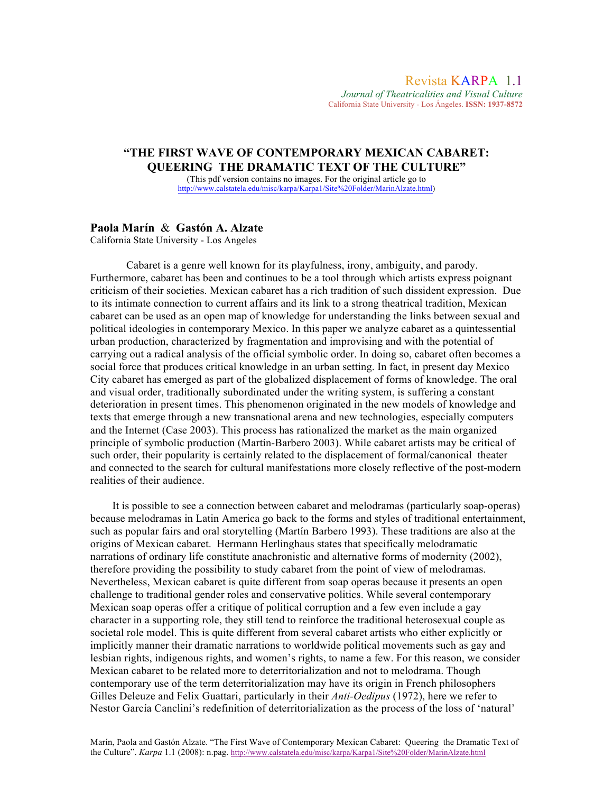*Journal of Theatricalities and Visual Culture* California State University - Los Ángeles. **ISSN: 1937-8572**

# **"THE FIRST WAVE OF CONTEMPORARY MEXICAN CABARET: QUEERING THE DRAMATIC TEXT OF THE CULTURE"**

(This pdf version contains no images. For the original article go to http://www.calstatela.edu/misc/karpa/Karpa1/Site%20Folder/MarinAlzate.html)

### **Paola Marín** & **Gastón A. Alzate**

California State University - Los Angeles

Cabaret is a genre well known for its playfulness, irony, ambiguity, and parody. Furthermore, cabaret has been and continues to be a tool through which artists express poignant criticism of their societies. Mexican cabaret has a rich tradition of such dissident expression. Due to its intimate connection to current affairs and its link to a strong theatrical tradition, Mexican cabaret can be used as an open map of knowledge for understanding the links between sexual and political ideologies in contemporary Mexico. In this paper we analyze cabaret as a quintessential urban production, characterized by fragmentation and improvising and with the potential of carrying out a radical analysis of the official symbolic order. In doing so, cabaret often becomes a social force that produces critical knowledge in an urban setting. In fact, in present day Mexico City cabaret has emerged as part of the globalized displacement of forms of knowledge. The oral and visual order, traditionally subordinated under the writing system, is suffering a constant deterioration in present times. This phenomenon originated in the new models of knowledge and texts that emerge through a new transnational arena and new technologies, especially computers and the Internet (Case 2003). This process has rationalized the market as the main organized principle of symbolic production (Martín-Barbero 2003). While cabaret artists may be critical of such order, their popularity is certainly related to the displacement of formal/canonical theater and connected to the search for cultural manifestations more closely reflective of the post-modern realities of their audience.

 It is possible to see a connection between cabaret and melodramas (particularly soap-operas) because melodramas in Latin America go back to the forms and styles of traditional entertainment, such as popular fairs and oral storytelling (Martín Barbero 1993). These traditions are also at the origins of Mexican cabaret. Hermann Herlinghaus states that specifically melodramatic narrations of ordinary life constitute anachronistic and alternative forms of modernity (2002), therefore providing the possibility to study cabaret from the point of view of melodramas. Nevertheless, Mexican cabaret is quite different from soap operas because it presents an open challenge to traditional gender roles and conservative politics. While several contemporary Mexican soap operas offer a critique of political corruption and a few even include a gay character in a supporting role, they still tend to reinforce the traditional heterosexual couple as societal role model. This is quite different from several cabaret artists who either explicitly or implicitly manner their dramatic narrations to worldwide political movements such as gay and lesbian rights, indigenous rights, and women's rights, to name a few. For this reason, we consider Mexican cabaret to be related more to deterritorialization and not to melodrama. Though contemporary use of the term deterritorialization may have its origin in French philosophers Gilles Deleuze and Felix Guattari, particularly in their *Anti-Oedipus* (1972), here we refer to Nestor García Canclini's redefinition of deterritorialization as the process of the loss of 'natural'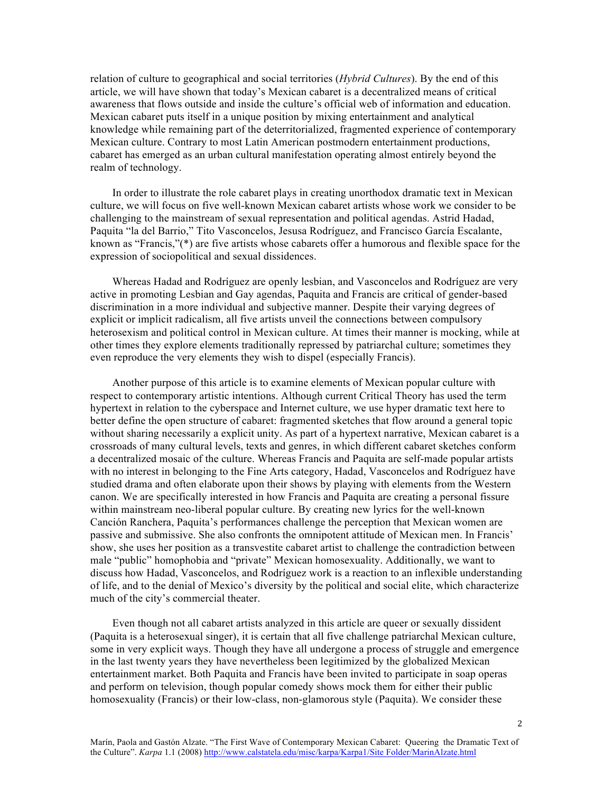relation of culture to geographical and social territories (*Hybrid Cultures*). By the end of this article, we will have shown that today's Mexican cabaret is a decentralized means of critical awareness that flows outside and inside the culture's official web of information and education. Mexican cabaret puts itself in a unique position by mixing entertainment and analytical knowledge while remaining part of the deterritorialized, fragmented experience of contemporary Mexican culture. Contrary to most Latin American postmodern entertainment productions, cabaret has emerged as an urban cultural manifestation operating almost entirely beyond the realm of technology.

 In order to illustrate the role cabaret plays in creating unorthodox dramatic text in Mexican culture, we will focus on five well-known Mexican cabaret artists whose work we consider to be challenging to the mainstream of sexual representation and political agendas. Astrid Hadad, Paquita "la del Barrio," Tito Vasconcelos, Jesusa Rodríguez, and Francisco García Escalante, known as "Francis,"(\*) are five artists whose cabarets offer a humorous and flexible space for the expression of sociopolitical and sexual dissidences.

 Whereas Hadad and Rodríguez are openly lesbian, and Vasconcelos and Rodríguez are very active in promoting Lesbian and Gay agendas, Paquita and Francis are critical of gender-based discrimination in a more individual and subjective manner. Despite their varying degrees of explicit or implicit radicalism, all five artists unveil the connections between compulsory heterosexism and political control in Mexican culture. At times their manner is mocking, while at other times they explore elements traditionally repressed by patriarchal culture; sometimes they even reproduce the very elements they wish to dispel (especially Francis).

 Another purpose of this article is to examine elements of Mexican popular culture with respect to contemporary artistic intentions. Although current Critical Theory has used the term hypertext in relation to the cyberspace and Internet culture, we use hyper dramatic text here to better define the open structure of cabaret: fragmented sketches that flow around a general topic without sharing necessarily a explicit unity. As part of a hypertext narrative, Mexican cabaret is a crossroads of many cultural levels, texts and genres, in which different cabaret sketches conform a decentralized mosaic of the culture. Whereas Francis and Paquita are self-made popular artists with no interest in belonging to the Fine Arts category, Hadad, Vasconcelos and Rodríguez have studied drama and often elaborate upon their shows by playing with elements from the Western canon. We are specifically interested in how Francis and Paquita are creating a personal fissure within mainstream neo-liberal popular culture. By creating new lyrics for the well-known Canción Ranchera, Paquita's performances challenge the perception that Mexican women are passive and submissive. She also confronts the omnipotent attitude of Mexican men. In Francis' show, she uses her position as a transvestite cabaret artist to challenge the contradiction between male "public" homophobia and "private" Mexican homosexuality. Additionally, we want to discuss how Hadad, Vasconcelos, and Rodríguez work is a reaction to an inflexible understanding of life, and to the denial of Mexico's diversity by the political and social elite, which characterize much of the city's commercial theater.

 Even though not all cabaret artists analyzed in this article are queer or sexually dissident (Paquita is a heterosexual singer), it is certain that all five challenge patriarchal Mexican culture, some in very explicit ways. Though they have all undergone a process of struggle and emergence in the last twenty years they have nevertheless been legitimized by the globalized Mexican entertainment market. Both Paquita and Francis have been invited to participate in soap operas and perform on television, though popular comedy shows mock them for either their public homosexuality (Francis) or their low-class, non-glamorous style (Paquita). We consider these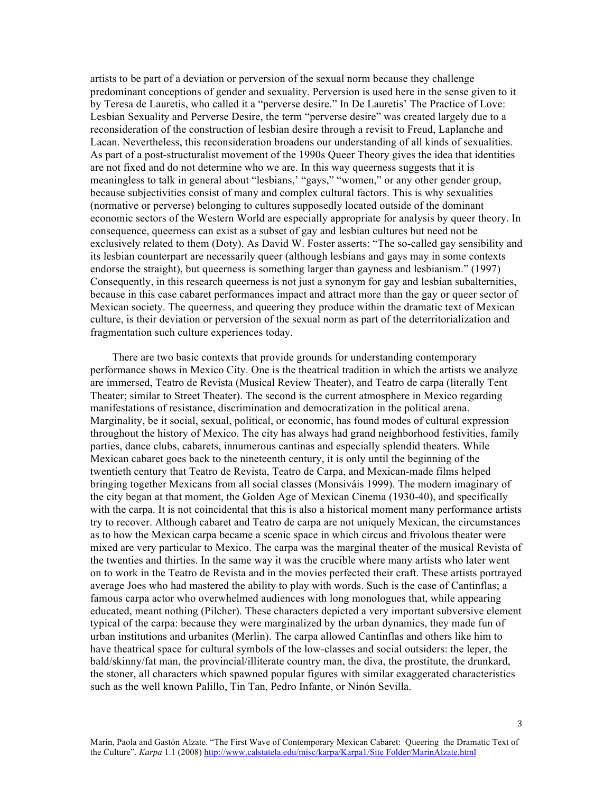artists to be part of a deviation or perversion of the sexual norm because they challenge predominant conceptions of gender and sexuality. Perversion is used here in the sense given to it by Teresa de Lauretis, who called it a "perverse desire." In De Lauretis' The Practice of Love: Lesbian Sexuality and Perverse Desire, the term "perverse desire" was created largely due to a reconsideration of the construction of lesbian desire through a revisit to Freud, Laplanche and Lacan. Nevertheless, this reconsideration broadens our understanding of all kinds of sexualities. As part of a post-structuralist movement of the 1990s Queer Theory gives the idea that identities are not fixed and do not determine who we are. In this way queerness suggests that it is meaningless to talk in general about "lesbians,' "gays," "women," or any other gender group, because subjectivities consist of many and complex cultural factors. This is why sexualities (normative or perverse) belonging to cultures supposedly located outside of the dominant economic sectors of the Western World are especially appropriate for analysis by queer theory. In consequence, queerness can exist as a subset of gay and lesbian cultures but need not be exclusively related to them (Doty). As David W. Foster asserts: "The so-called gay sensibility and its lesbian counterpart are necessarily queer (although lesbians and gays may in some contexts endorse the straight), but queerness is something larger than gayness and lesbianism." (1997) Consequently, in this research queerness is not just a synonym for gay and lesbian subalternities, because in this case cabaret performances impact and attract more than the gay or queer sector of Mexican society. The queerness, and queering they produce within the dramatic text of Mexican culture, is their deviation or perversion of the sexual norm as part of the deterritorialization and fragmentation such culture experiences today.

 There are two basic contexts that provide grounds for understanding contemporary performance shows in Mexico City. One is the theatrical tradition in which the artists we analyze are immersed, Teatro de Revista (Musical Review Theater), and Teatro de carpa (literally Tent Theater; similar to Street Theater). The second is the current atmosphere in Mexico regarding manifestations of resistance, discrimination and democratization in the political arena. Marginality, be it social, sexual, political, or economic, has found modes of cultural expression throughout the history of Mexico. The city has always had grand neighborhood festivities, family parties, dance clubs, cabarets, innumerous cantinas and especially splendid theaters. While Mexican cabaret goes back to the nineteenth century, it is only until the beginning of the twentieth century that Teatro de Revista, Teatro de Carpa, and Mexican-made films helped bringing together Mexicans from all social classes (Monsiváis 1999). The modern imaginary of the city began at that moment, the Golden Age of Mexican Cinema (1930-40), and specifically with the carpa. It is not coincidental that this is also a historical moment many performance artists try to recover. Although cabaret and Teatro de carpa are not uniquely Mexican, the circumstances as to how the Mexican carpa became a scenic space in which circus and frivolous theater were mixed are very particular to Mexico. The carpa was the marginal theater of the musical Revista of the twenties and thirties. In the same way it was the crucible where many artists who later went on to work in the Teatro de Revista and in the movies perfected their craft. These artists portrayed average Joes who had mastered the ability to play with words. Such is the case of Cantinflas; a famous carpa actor who overwhelmed audiences with long monologues that, while appearing educated, meant nothing (Pilcher). These characters depicted a very important subversive element typical of the carpa: because they were marginalized by the urban dynamics, they made fun of urban institutions and urbanites (Merlin). The carpa allowed Cantinflas and others like him to have theatrical space for cultural symbols of the low-classes and social outsiders: the leper, the bald/skinny/fat man, the provincial/illiterate country man, the diva, the prostitute, the drunkard, the stoner, all characters which spawned popular figures with similar exaggerated characteristics such as the well known Palillo, Tin Tan, Pedro Infante, or Ninón Sevilla.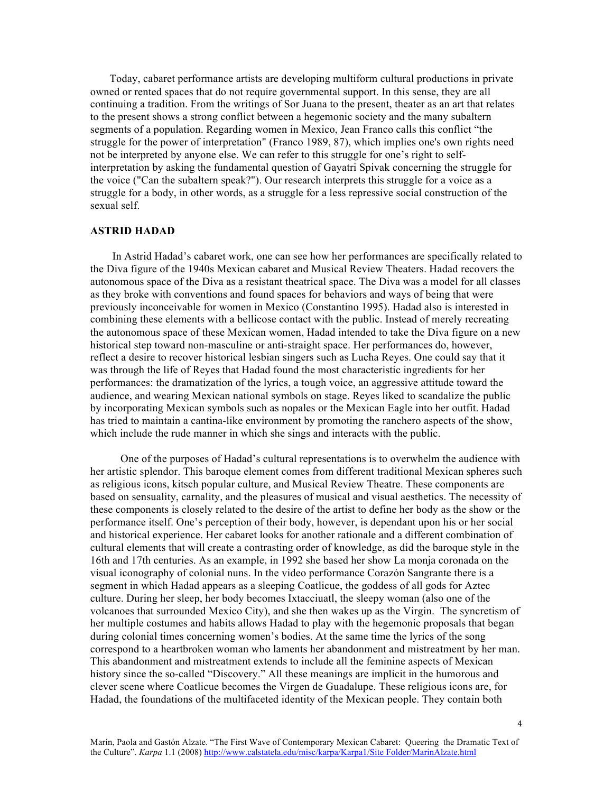Today, cabaret performance artists are developing multiform cultural productions in private owned or rented spaces that do not require governmental support. In this sense, they are all continuing a tradition. From the writings of Sor Juana to the present, theater as an art that relates to the present shows a strong conflict between a hegemonic society and the many subaltern segments of a population. Regarding women in Mexico, Jean Franco calls this conflict "the struggle for the power of interpretation" (Franco 1989, 87), which implies one's own rights need not be interpreted by anyone else. We can refer to this struggle for one's right to selfinterpretation by asking the fundamental question of Gayatri Spivak concerning the struggle for the voice ("Can the subaltern speak?"). Our research interprets this struggle for a voice as a struggle for a body, in other words, as a struggle for a less repressive social construction of the sexual self.

### **ASTRID HADAD**

 In Astrid Hadad's cabaret work, one can see how her performances are specifically related to the Diva figure of the 1940s Mexican cabaret and Musical Review Theaters. Hadad recovers the autonomous space of the Diva as a resistant theatrical space. The Diva was a model for all classes as they broke with conventions and found spaces for behaviors and ways of being that were previously inconceivable for women in Mexico (Constantino 1995). Hadad also is interested in combining these elements with a bellicose contact with the public. Instead of merely recreating the autonomous space of these Mexican women, Hadad intended to take the Diva figure on a new historical step toward non-masculine or anti-straight space. Her performances do, however, reflect a desire to recover historical lesbian singers such as Lucha Reyes. One could say that it was through the life of Reyes that Hadad found the most characteristic ingredients for her performances: the dramatization of the lyrics, a tough voice, an aggressive attitude toward the audience, and wearing Mexican national symbols on stage. Reyes liked to scandalize the public by incorporating Mexican symbols such as nopales or the Mexican Eagle into her outfit. Hadad has tried to maintain a cantina-like environment by promoting the ranchero aspects of the show, which include the rude manner in which she sings and interacts with the public.

 One of the purposes of Hadad's cultural representations is to overwhelm the audience with her artistic splendor. This baroque element comes from different traditional Mexican spheres such as religious icons, kitsch popular culture, and Musical Review Theatre. These components are based on sensuality, carnality, and the pleasures of musical and visual aesthetics. The necessity of these components is closely related to the desire of the artist to define her body as the show or the performance itself. One's perception of their body, however, is dependant upon his or her social and historical experience. Her cabaret looks for another rationale and a different combination of cultural elements that will create a contrasting order of knowledge, as did the baroque style in the 16th and 17th centuries. As an example, in 1992 she based her show La monja coronada on the visual iconography of colonial nuns. In the video performance Corazón Sangrante there is a segment in which Hadad appears as a sleeping Coatlicue, the goddess of all gods for Aztec culture. During her sleep, her body becomes Ixtacciuatl, the sleepy woman (also one of the volcanoes that surrounded Mexico City), and she then wakes up as the Virgin. The syncretism of her multiple costumes and habits allows Hadad to play with the hegemonic proposals that began during colonial times concerning women's bodies. At the same time the lyrics of the song correspond to a heartbroken woman who laments her abandonment and mistreatment by her man. This abandonment and mistreatment extends to include all the feminine aspects of Mexican history since the so-called "Discovery." All these meanings are implicit in the humorous and clever scene where Coatlicue becomes the Virgen de Guadalupe. These religious icons are, for Hadad, the foundations of the multifaceted identity of the Mexican people. They contain both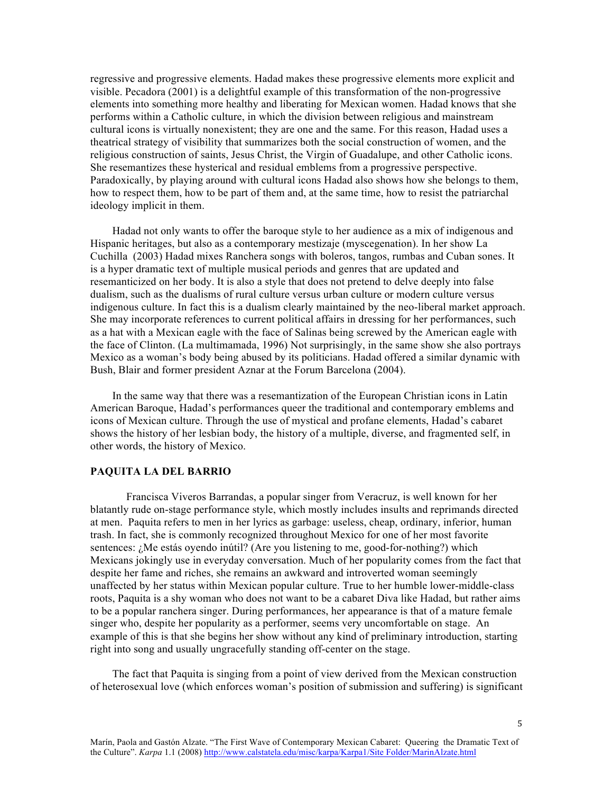regressive and progressive elements. Hadad makes these progressive elements more explicit and visible. Pecadora (2001) is a delightful example of this transformation of the non-progressive elements into something more healthy and liberating for Mexican women. Hadad knows that she performs within a Catholic culture, in which the division between religious and mainstream cultural icons is virtually nonexistent; they are one and the same. For this reason, Hadad uses a theatrical strategy of visibility that summarizes both the social construction of women, and the religious construction of saints, Jesus Christ, the Virgin of Guadalupe, and other Catholic icons. She resemantizes these hysterical and residual emblems from a progressive perspective. Paradoxically, by playing around with cultural icons Hadad also shows how she belongs to them, how to respect them, how to be part of them and, at the same time, how to resist the patriarchal ideology implicit in them.

 Hadad not only wants to offer the baroque style to her audience as a mix of indigenous and Hispanic heritages, but also as a contemporary mestizaje (myscegenation). In her show La Cuchilla (2003) Hadad mixes Ranchera songs with boleros, tangos, rumbas and Cuban sones. It is a hyper dramatic text of multiple musical periods and genres that are updated and resemanticized on her body. It is also a style that does not pretend to delve deeply into false dualism, such as the dualisms of rural culture versus urban culture or modern culture versus indigenous culture. In fact this is a dualism clearly maintained by the neo-liberal market approach. She may incorporate references to current political affairs in dressing for her performances, such as a hat with a Mexican eagle with the face of Salinas being screwed by the American eagle with the face of Clinton. (La multimamada, 1996) Not surprisingly, in the same show she also portrays Mexico as a woman's body being abused by its politicians. Hadad offered a similar dynamic with Bush, Blair and former president Aznar at the Forum Barcelona (2004).

 In the same way that there was a resemantization of the European Christian icons in Latin American Baroque, Hadad's performances queer the traditional and contemporary emblems and icons of Mexican culture. Through the use of mystical and profane elements, Hadad's cabaret shows the history of her lesbian body, the history of a multiple, diverse, and fragmented self, in other words, the history of Mexico.

#### **PAQUITA LA DEL BARRIO**

Francisca Viveros Barrandas, a popular singer from Veracruz, is well known for her blatantly rude on-stage performance style, which mostly includes insults and reprimands directed at men. Paquita refers to men in her lyrics as garbage: useless, cheap, ordinary, inferior, human trash. In fact, she is commonly recognized throughout Mexico for one of her most favorite sentences: ¿Me estás oyendo inútil? (Are you listening to me, good-for-nothing?) which Mexicans jokingly use in everyday conversation. Much of her popularity comes from the fact that despite her fame and riches, she remains an awkward and introverted woman seemingly unaffected by her status within Mexican popular culture. True to her humble lower-middle-class roots, Paquita is a shy woman who does not want to be a cabaret Diva like Hadad, but rather aims to be a popular ranchera singer. During performances, her appearance is that of a mature female singer who, despite her popularity as a performer, seems very uncomfortable on stage. An example of this is that she begins her show without any kind of preliminary introduction, starting right into song and usually ungracefully standing off-center on the stage.

 The fact that Paquita is singing from a point of view derived from the Mexican construction of heterosexual love (which enforces woman's position of submission and suffering) is significant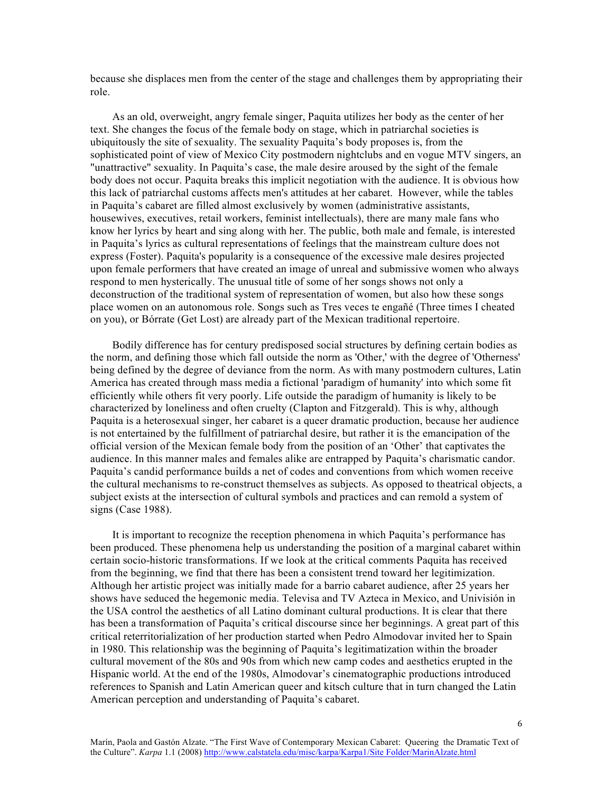because she displaces men from the center of the stage and challenges them by appropriating their role.

 As an old, overweight, angry female singer, Paquita utilizes her body as the center of her text. She changes the focus of the female body on stage, which in patriarchal societies is ubiquitously the site of sexuality. The sexuality Paquita's body proposes is, from the sophisticated point of view of Mexico City postmodern nightclubs and en vogue MTV singers, an "unattractive" sexuality. In Paquita's case, the male desire aroused by the sight of the female body does not occur. Paquita breaks this implicit negotiation with the audience. It is obvious how this lack of patriarchal customs affects men's attitudes at her cabaret. However, while the tables in Paquita's cabaret are filled almost exclusively by women (administrative assistants, housewives, executives, retail workers, feminist intellectuals), there are many male fans who know her lyrics by heart and sing along with her. The public, both male and female, is interested in Paquita's lyrics as cultural representations of feelings that the mainstream culture does not express (Foster). Paquita's popularity is a consequence of the excessive male desires projected upon female performers that have created an image of unreal and submissive women who always respond to men hysterically. The unusual title of some of her songs shows not only a deconstruction of the traditional system of representation of women, but also how these songs place women on an autonomous role. Songs such as Tres veces te engañé (Three times I cheated on you), or Bórrate (Get Lost) are already part of the Mexican traditional repertoire.

 Bodily difference has for century predisposed social structures by defining certain bodies as the norm, and defining those which fall outside the norm as 'Other,' with the degree of 'Otherness' being defined by the degree of deviance from the norm. As with many postmodern cultures, Latin America has created through mass media a fictional 'paradigm of humanity' into which some fit efficiently while others fit very poorly. Life outside the paradigm of humanity is likely to be characterized by loneliness and often cruelty (Clapton and Fitzgerald). This is why, although Paquita is a heterosexual singer, her cabaret is a queer dramatic production, because her audience is not entertained by the fulfillment of patriarchal desire, but rather it is the emancipation of the official version of the Mexican female body from the position of an 'Other' that captivates the audience. In this manner males and females alike are entrapped by Paquita's charismatic candor. Paquita's candid performance builds a net of codes and conventions from which women receive the cultural mechanisms to re-construct themselves as subjects. As opposed to theatrical objects, a subject exists at the intersection of cultural symbols and practices and can remold a system of signs (Case 1988).

 It is important to recognize the reception phenomena in which Paquita's performance has been produced. These phenomena help us understanding the position of a marginal cabaret within certain socio-historic transformations. If we look at the critical comments Paquita has received from the beginning, we find that there has been a consistent trend toward her legitimization. Although her artistic project was initially made for a barrio cabaret audience, after 25 years her shows have seduced the hegemonic media. Televisa and TV Azteca in Mexico, and Univisión in the USA control the aesthetics of all Latino dominant cultural productions. It is clear that there has been a transformation of Paquita's critical discourse since her beginnings. A great part of this critical reterritorialization of her production started when Pedro Almodovar invited her to Spain in 1980. This relationship was the beginning of Paquita's legitimatization within the broader cultural movement of the 80s and 90s from which new camp codes and aesthetics erupted in the Hispanic world. At the end of the 1980s, Almodovar's cinematographic productions introduced references to Spanish and Latin American queer and kitsch culture that in turn changed the Latin American perception and understanding of Paquita's cabaret.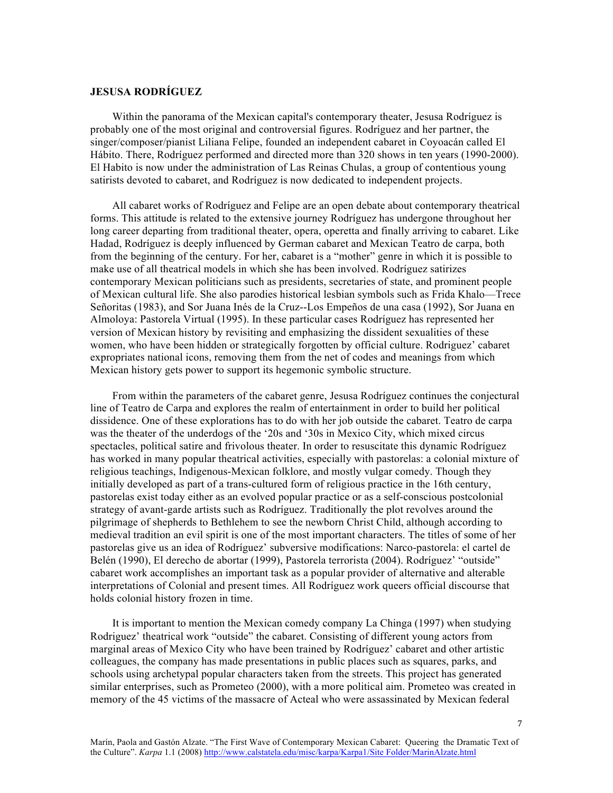## **JESUSA RODRÍGUEZ**

 Within the panorama of the Mexican capital's contemporary theater, Jesusa Rodríguez is probably one of the most original and controversial figures. Rodríguez and her partner, the singer/composer/pianist Liliana Felipe, founded an independent cabaret in Coyoacán called El Hábito. There, Rodríguez performed and directed more than 320 shows in ten years (1990-2000). El Habito is now under the administration of Las Reinas Chulas, a group of contentious young satirists devoted to cabaret, and Rodríguez is now dedicated to independent projects.

 All cabaret works of Rodríguez and Felipe are an open debate about contemporary theatrical forms. This attitude is related to the extensive journey Rodríguez has undergone throughout her long career departing from traditional theater, opera, operetta and finally arriving to cabaret. Like Hadad, Rodríguez is deeply influenced by German cabaret and Mexican Teatro de carpa, both from the beginning of the century. For her, cabaret is a "mother" genre in which it is possible to make use of all theatrical models in which she has been involved. Rodríguez satirizes contemporary Mexican politicians such as presidents, secretaries of state, and prominent people of Mexican cultural life. She also parodies historical lesbian symbols such as Frida Khalo—Trece Señoritas (1983), and Sor Juana Inés de la Cruz--Los Empeños de una casa (1992), Sor Juana en Almoloya: Pastorela Virtual (1995). In these particular cases Rodríguez has represented her version of Mexican history by revisiting and emphasizing the dissident sexualities of these women, who have been hidden or strategically forgotten by official culture. Rodriguez' cabaret expropriates national icons, removing them from the net of codes and meanings from which Mexican history gets power to support its hegemonic symbolic structure.

 From within the parameters of the cabaret genre, Jesusa Rodríguez continues the conjectural line of Teatro de Carpa and explores the realm of entertainment in order to build her political dissidence. One of these explorations has to do with her job outside the cabaret. Teatro de carpa was the theater of the underdogs of the '20s and '30s in Mexico City, which mixed circus spectacles, political satire and frivolous theater. In order to resuscitate this dynamic Rodríguez has worked in many popular theatrical activities, especially with pastorelas: a colonial mixture of religious teachings, Indigenous-Mexican folklore, and mostly vulgar comedy. Though they initially developed as part of a trans-cultured form of religious practice in the 16th century, pastorelas exist today either as an evolved popular practice or as a self-conscious postcolonial strategy of avant-garde artists such as Rodríguez. Traditionally the plot revolves around the pilgrimage of shepherds to Bethlehem to see the newborn Christ Child, although according to medieval tradition an evil spirit is one of the most important characters. The titles of some of her pastorelas give us an idea of Rodríguez' subversive modifications: Narco-pastorela: el cartel de Belén (1990), El derecho de abortar (1999), Pastorela terrorista (2004). Rodríguez' "outside" cabaret work accomplishes an important task as a popular provider of alternative and alterable interpretations of Colonial and present times. All Rodríguez work queers official discourse that holds colonial history frozen in time.

 It is important to mention the Mexican comedy company La Chinga (1997) when studying Rodriguez' theatrical work "outside" the cabaret. Consisting of different young actors from marginal areas of Mexico City who have been trained by Rodríguez' cabaret and other artistic colleagues, the company has made presentations in public places such as squares, parks, and schools using archetypal popular characters taken from the streets. This project has generated similar enterprises, such as Prometeo (2000), with a more political aim. Prometeo was created in memory of the 45 victims of the massacre of Acteal who were assassinated by Mexican federal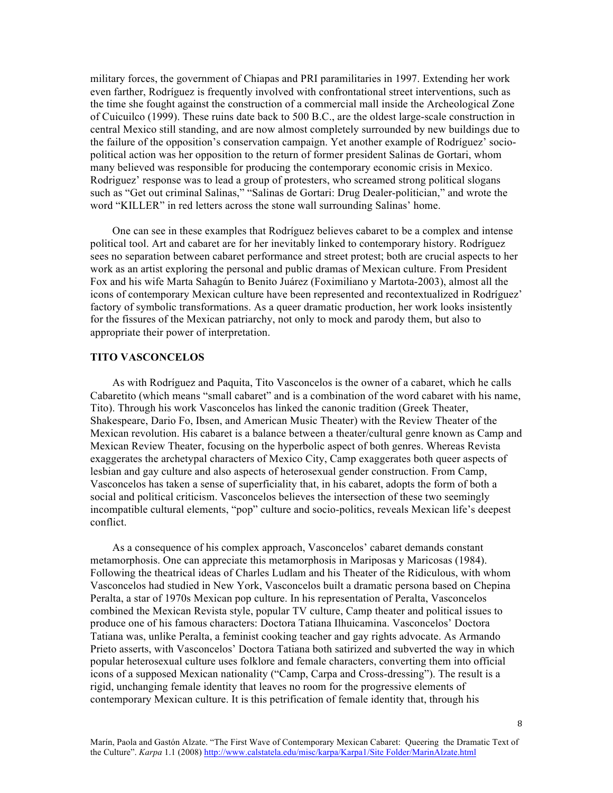military forces, the government of Chiapas and PRI paramilitaries in 1997. Extending her work even farther, Rodríguez is frequently involved with confrontational street interventions, such as the time she fought against the construction of a commercial mall inside the Archeological Zone of Cuicuilco (1999). These ruins date back to 500 B.C., are the oldest large-scale construction in central Mexico still standing, and are now almost completely surrounded by new buildings due to the failure of the opposition's conservation campaign. Yet another example of Rodríguez' sociopolitical action was her opposition to the return of former president Salinas de Gortari, whom many believed was responsible for producing the contemporary economic crisis in Mexico. Rodriguez' response was to lead a group of protesters, who screamed strong political slogans such as "Get out criminal Salinas," "Salinas de Gortari: Drug Dealer-politician," and wrote the word "KILLER" in red letters across the stone wall surrounding Salinas' home.

 One can see in these examples that Rodríguez believes cabaret to be a complex and intense political tool. Art and cabaret are for her inevitably linked to contemporary history. Rodríguez sees no separation between cabaret performance and street protest; both are crucial aspects to her work as an artist exploring the personal and public dramas of Mexican culture. From President Fox and his wife Marta Sahagún to Benito Juárez (Foximiliano y Martota-2003), almost all the icons of contemporary Mexican culture have been represented and recontextualized in Rodríguez' factory of symbolic transformations. As a queer dramatic production, her work looks insistently for the fissures of the Mexican patriarchy, not only to mock and parody them, but also to appropriate their power of interpretation.

### **TITO VASCONCELOS**

 As with Rodríguez and Paquita, Tito Vasconcelos is the owner of a cabaret, which he calls Cabaretito (which means "small cabaret" and is a combination of the word cabaret with his name, Tito). Through his work Vasconcelos has linked the canonic tradition (Greek Theater, Shakespeare, Dario Fo, Ibsen, and American Music Theater) with the Review Theater of the Mexican revolution. His cabaret is a balance between a theater/cultural genre known as Camp and Mexican Review Theater, focusing on the hyperbolic aspect of both genres. Whereas Revista exaggerates the archetypal characters of Mexico City, Camp exaggerates both queer aspects of lesbian and gay culture and also aspects of heterosexual gender construction. From Camp, Vasconcelos has taken a sense of superficiality that, in his cabaret, adopts the form of both a social and political criticism. Vasconcelos believes the intersection of these two seemingly incompatible cultural elements, "pop" culture and socio-politics, reveals Mexican life's deepest conflict.

 As a consequence of his complex approach, Vasconcelos' cabaret demands constant metamorphosis. One can appreciate this metamorphosis in Mariposas y Maricosas (1984). Following the theatrical ideas of Charles Ludlam and his Theater of the Ridiculous, with whom Vasconcelos had studied in New York, Vasconcelos built a dramatic persona based on Chepina Peralta, a star of 1970s Mexican pop culture. In his representation of Peralta, Vasconcelos combined the Mexican Revista style, popular TV culture, Camp theater and political issues to produce one of his famous characters: Doctora Tatiana Ilhuicamina. Vasconcelos' Doctora Tatiana was, unlike Peralta, a feminist cooking teacher and gay rights advocate. As Armando Prieto asserts, with Vasconcelos' Doctora Tatiana both satirized and subverted the way in which popular heterosexual culture uses folklore and female characters, converting them into official icons of a supposed Mexican nationality ("Camp, Carpa and Cross-dressing"). The result is a rigid, unchanging female identity that leaves no room for the progressive elements of contemporary Mexican culture. It is this petrification of female identity that, through his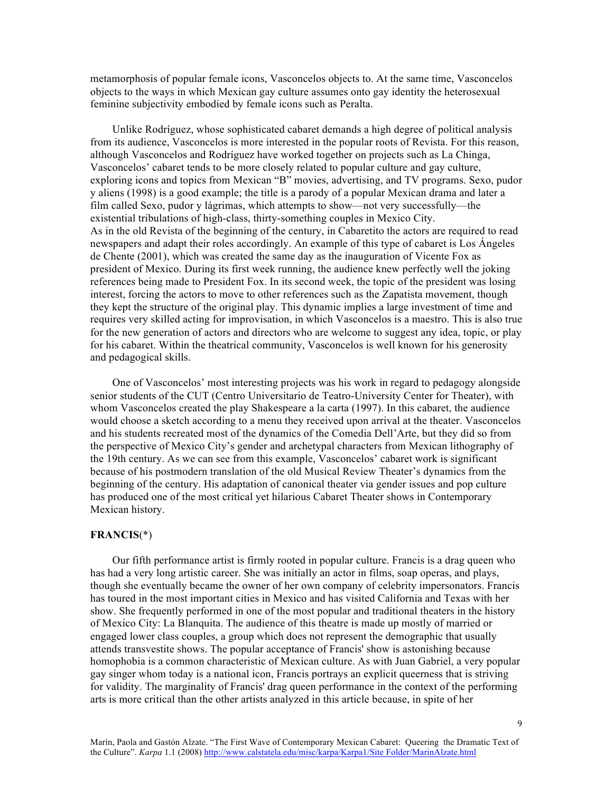metamorphosis of popular female icons, Vasconcelos objects to. At the same time, Vasconcelos objects to the ways in which Mexican gay culture assumes onto gay identity the heterosexual feminine subjectivity embodied by female icons such as Peralta.

 Unlike Rodríguez, whose sophisticated cabaret demands a high degree of political analysis from its audience, Vasconcelos is more interested in the popular roots of Revista. For this reason, although Vasconcelos and Rodríguez have worked together on projects such as La Chinga, Vasconcelos' cabaret tends to be more closely related to popular culture and gay culture, exploring icons and topics from Mexican "B" movies, advertising, and TV programs. Sexo, pudor y aliens (1998) is a good example; the title is a parody of a popular Mexican drama and later a film called Sexo, pudor y lágrimas, which attempts to show—not very successfully—the existential tribulations of high-class, thirty-something couples in Mexico City. As in the old Revista of the beginning of the century, in Cabaretito the actors are required to read newspapers and adapt their roles accordingly. An example of this type of cabaret is Los Ángeles de Chente (2001), which was created the same day as the inauguration of Vicente Fox as president of Mexico. During its first week running, the audience knew perfectly well the joking references being made to President Fox. In its second week, the topic of the president was losing interest, forcing the actors to move to other references such as the Zapatista movement, though they kept the structure of the original play. This dynamic implies a large investment of time and requires very skilled acting for improvisation, in which Vasconcelos is a maestro. This is also true for the new generation of actors and directors who are welcome to suggest any idea, topic, or play for his cabaret. Within the theatrical community, Vasconcelos is well known for his generosity and pedagogical skills.

 One of Vasconcelos' most interesting projects was his work in regard to pedagogy alongside senior students of the CUT (Centro Universitario de Teatro-University Center for Theater), with whom Vasconcelos created the play Shakespeare a la carta (1997). In this cabaret, the audience would choose a sketch according to a menu they received upon arrival at the theater. Vasconcelos and his students recreated most of the dynamics of the Comedia Dell'Arte, but they did so from the perspective of Mexico City's gender and archetypal characters from Mexican lithography of the 19th century. As we can see from this example, Vasconcelos' cabaret work is significant because of his postmodern translation of the old Musical Review Theater's dynamics from the beginning of the century. His adaptation of canonical theater via gender issues and pop culture has produced one of the most critical yet hilarious Cabaret Theater shows in Contemporary Mexican history.

### **FRANCIS**(\*)

 Our fifth performance artist is firmly rooted in popular culture. Francis is a drag queen who has had a very long artistic career. She was initially an actor in films, soap operas, and plays, though she eventually became the owner of her own company of celebrity impersonators. Francis has toured in the most important cities in Mexico and has visited California and Texas with her show. She frequently performed in one of the most popular and traditional theaters in the history of Mexico City: La Blanquita. The audience of this theatre is made up mostly of married or engaged lower class couples, a group which does not represent the demographic that usually attends transvestite shows. The popular acceptance of Francis' show is astonishing because homophobia is a common characteristic of Mexican culture. As with Juan Gabriel, a very popular gay singer whom today is a national icon, Francis portrays an explicit queerness that is striving for validity. The marginality of Francis' drag queen performance in the context of the performing arts is more critical than the other artists analyzed in this article because, in spite of her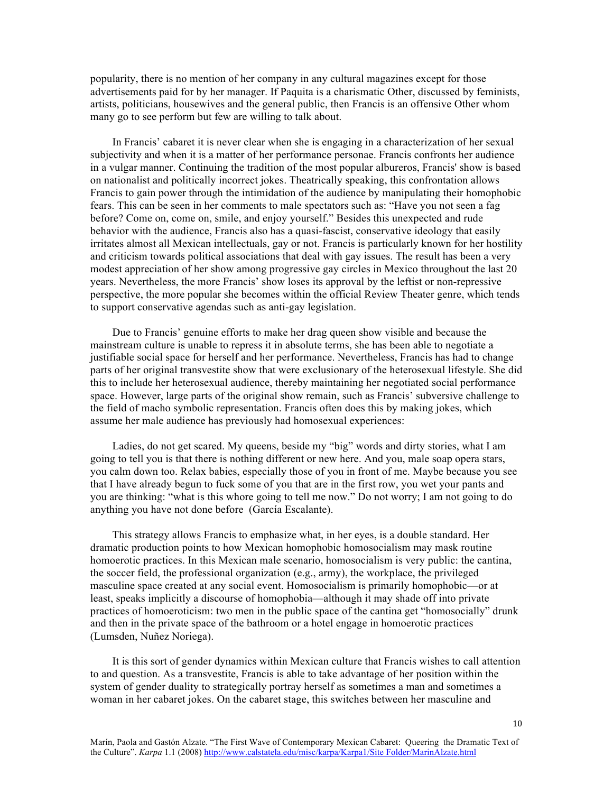popularity, there is no mention of her company in any cultural magazines except for those advertisements paid for by her manager. If Paquita is a charismatic Other, discussed by feminists, artists, politicians, housewives and the general public, then Francis is an offensive Other whom many go to see perform but few are willing to talk about.

 In Francis' cabaret it is never clear when she is engaging in a characterization of her sexual subjectivity and when it is a matter of her performance personae. Francis confronts her audience in a vulgar manner. Continuing the tradition of the most popular albureros, Francis' show is based on nationalist and politically incorrect jokes. Theatrically speaking, this confrontation allows Francis to gain power through the intimidation of the audience by manipulating their homophobic fears. This can be seen in her comments to male spectators such as: "Have you not seen a fag before? Come on, come on, smile, and enjoy yourself." Besides this unexpected and rude behavior with the audience, Francis also has a quasi-fascist, conservative ideology that easily irritates almost all Mexican intellectuals, gay or not. Francis is particularly known for her hostility and criticism towards political associations that deal with gay issues. The result has been a very modest appreciation of her show among progressive gay circles in Mexico throughout the last 20 years. Nevertheless, the more Francis' show loses its approval by the leftist or non-repressive perspective, the more popular she becomes within the official Review Theater genre, which tends to support conservative agendas such as anti-gay legislation.

 Due to Francis' genuine efforts to make her drag queen show visible and because the mainstream culture is unable to repress it in absolute terms, she has been able to negotiate a justifiable social space for herself and her performance. Nevertheless, Francis has had to change parts of her original transvestite show that were exclusionary of the heterosexual lifestyle. She did this to include her heterosexual audience, thereby maintaining her negotiated social performance space. However, large parts of the original show remain, such as Francis' subversive challenge to the field of macho symbolic representation. Francis often does this by making jokes, which assume her male audience has previously had homosexual experiences:

 Ladies, do not get scared. My queens, beside my "big" words and dirty stories, what I am going to tell you is that there is nothing different or new here. And you, male soap opera stars, you calm down too. Relax babies, especially those of you in front of me. Maybe because you see that I have already begun to fuck some of you that are in the first row, you wet your pants and you are thinking: "what is this whore going to tell me now." Do not worry; I am not going to do anything you have not done before (García Escalante).

 This strategy allows Francis to emphasize what, in her eyes, is a double standard. Her dramatic production points to how Mexican homophobic homosocialism may mask routine homoerotic practices. In this Mexican male scenario, homosocialism is very public: the cantina, the soccer field, the professional organization (e.g., army), the workplace, the privileged masculine space created at any social event. Homosocialism is primarily homophobic—or at least, speaks implicitly a discourse of homophobia—although it may shade off into private practices of homoeroticism: two men in the public space of the cantina get "homosocially" drunk and then in the private space of the bathroom or a hotel engage in homoerotic practices (Lumsden, Nuñez Noriega).

 It is this sort of gender dynamics within Mexican culture that Francis wishes to call attention to and question. As a transvestite, Francis is able to take advantage of her position within the system of gender duality to strategically portray herself as sometimes a man and sometimes a woman in her cabaret jokes. On the cabaret stage, this switches between her masculine and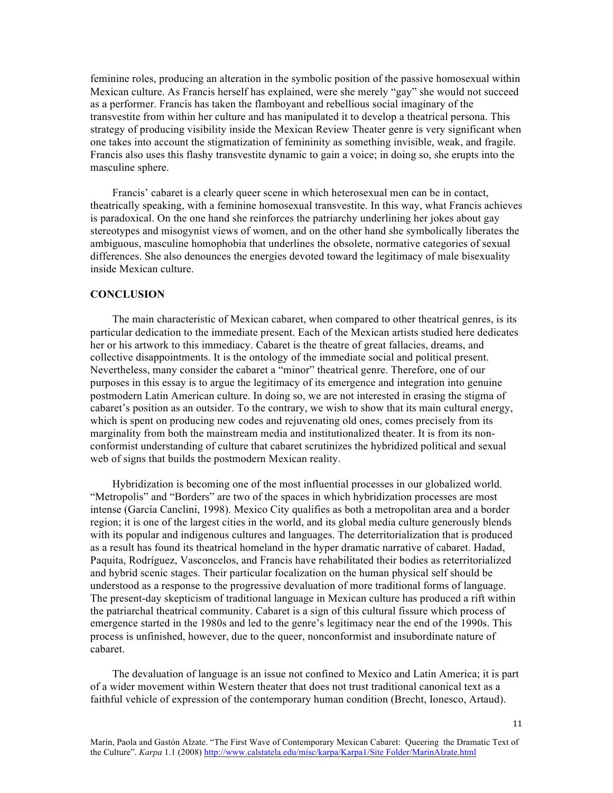feminine roles, producing an alteration in the symbolic position of the passive homosexual within Mexican culture. As Francis herself has explained, were she merely "gay" she would not succeed as a performer. Francis has taken the flamboyant and rebellious social imaginary of the transvestite from within her culture and has manipulated it to develop a theatrical persona. This strategy of producing visibility inside the Mexican Review Theater genre is very significant when one takes into account the stigmatization of femininity as something invisible, weak, and fragile. Francis also uses this flashy transvestite dynamic to gain a voice; in doing so, she erupts into the masculine sphere.

 Francis' cabaret is a clearly queer scene in which heterosexual men can be in contact, theatrically speaking, with a feminine homosexual transvestite. In this way, what Francis achieves is paradoxical. On the one hand she reinforces the patriarchy underlining her jokes about gay stereotypes and misogynist views of women, and on the other hand she symbolically liberates the ambiguous, masculine homophobia that underlines the obsolete, normative categories of sexual differences. She also denounces the energies devoted toward the legitimacy of male bisexuality inside Mexican culture.

#### **CONCLUSION**

 The main characteristic of Mexican cabaret, when compared to other theatrical genres, is its particular dedication to the immediate present. Each of the Mexican artists studied here dedicates her or his artwork to this immediacy. Cabaret is the theatre of great fallacies, dreams, and collective disappointments. It is the ontology of the immediate social and political present. Nevertheless, many consider the cabaret a "minor" theatrical genre. Therefore, one of our purposes in this essay is to argue the legitimacy of its emergence and integration into genuine postmodern Latin American culture. In doing so, we are not interested in erasing the stigma of cabaret's position as an outsider. To the contrary, we wish to show that its main cultural energy, which is spent on producing new codes and rejuvenating old ones, comes precisely from its marginality from both the mainstream media and institutionalized theater. It is from its nonconformist understanding of culture that cabaret scrutinizes the hybridized political and sexual web of signs that builds the postmodern Mexican reality.

 Hybridization is becoming one of the most influential processes in our globalized world. "Metropolis" and "Borders" are two of the spaces in which hybridization processes are most intense (García Canclini, 1998). Mexico City qualifies as both a metropolitan area and a border region; it is one of the largest cities in the world, and its global media culture generously blends with its popular and indigenous cultures and languages. The deterritorialization that is produced as a result has found its theatrical homeland in the hyper dramatic narrative of cabaret. Hadad, Paquita, Rodríguez, Vasconcelos, and Francis have rehabilitated their bodies as reterritorialized and hybrid scenic stages. Their particular focalization on the human physical self should be understood as a response to the progressive devaluation of more traditional forms of language. The present-day skepticism of traditional language in Mexican culture has produced a rift within the patriarchal theatrical community. Cabaret is a sign of this cultural fissure which process of emergence started in the 1980s and led to the genre's legitimacy near the end of the 1990s. This process is unfinished, however, due to the queer, nonconformist and insubordinate nature of cabaret.

 The devaluation of language is an issue not confined to Mexico and Latin America; it is part of a wider movement within Western theater that does not trust traditional canonical text as a faithful vehicle of expression of the contemporary human condition (Brecht, Ionesco, Artaud).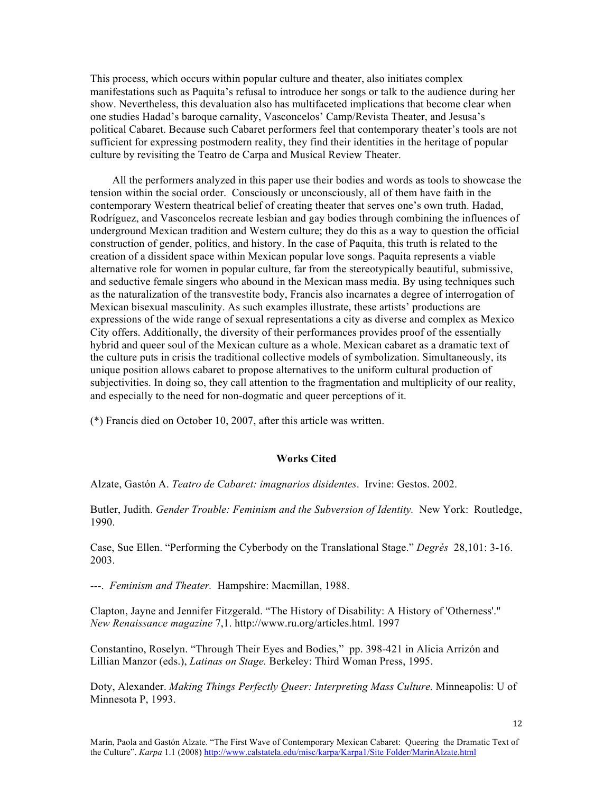This process, which occurs within popular culture and theater, also initiates complex manifestations such as Paquita's refusal to introduce her songs or talk to the audience during her show. Nevertheless, this devaluation also has multifaceted implications that become clear when one studies Hadad's baroque carnality, Vasconcelos' Camp/Revista Theater, and Jesusa's political Cabaret. Because such Cabaret performers feel that contemporary theater's tools are not sufficient for expressing postmodern reality, they find their identities in the heritage of popular culture by revisiting the Teatro de Carpa and Musical Review Theater.

 All the performers analyzed in this paper use their bodies and words as tools to showcase the tension within the social order. Consciously or unconsciously, all of them have faith in the contemporary Western theatrical belief of creating theater that serves one's own truth. Hadad, Rodríguez, and Vasconcelos recreate lesbian and gay bodies through combining the influences of underground Mexican tradition and Western culture; they do this as a way to question the official construction of gender, politics, and history. In the case of Paquita, this truth is related to the creation of a dissident space within Mexican popular love songs. Paquita represents a viable alternative role for women in popular culture, far from the stereotypically beautiful, submissive, and seductive female singers who abound in the Mexican mass media. By using techniques such as the naturalization of the transvestite body, Francis also incarnates a degree of interrogation of Mexican bisexual masculinity. As such examples illustrate, these artists' productions are expressions of the wide range of sexual representations a city as diverse and complex as Mexico City offers. Additionally, the diversity of their performances provides proof of the essentially hybrid and queer soul of the Mexican culture as a whole. Mexican cabaret as a dramatic text of the culture puts in crisis the traditional collective models of symbolization. Simultaneously, its unique position allows cabaret to propose alternatives to the uniform cultural production of subjectivities. In doing so, they call attention to the fragmentation and multiplicity of our reality, and especially to the need for non-dogmatic and queer perceptions of it.

(\*) Francis died on October 10, 2007, after this article was written.

### **Works Cited**

Alzate, Gastón A. *Teatro de Cabaret: imagnarios disidentes*. Irvine: Gestos. 2002.

Butler, Judith. *Gender Trouble: Feminism and the Subversion of Identity.* New York: Routledge, 1990.

Case, Sue Ellen. "Performing the Cyberbody on the Translational Stage." *Degrés* 28,101: 3-16. 2003.

---. *Feminism and Theater.* Hampshire: Macmillan, 1988.

Clapton, Jayne and Jennifer Fitzgerald. "The History of Disability: A History of 'Otherness'." *New Renaissance magazine* 7,1. http://www.ru.org/articles.html. 1997

Constantino, Roselyn. "Through Their Eyes and Bodies," pp. 398-421 in Alicia Arrizón and Lillian Manzor (eds.), *Latinas on Stage.* Berkeley: Third Woman Press, 1995.

Doty, Alexander. *Making Things Perfectly Queer: Interpreting Mass Culture.* Minneapolis: U of Minnesota P, 1993.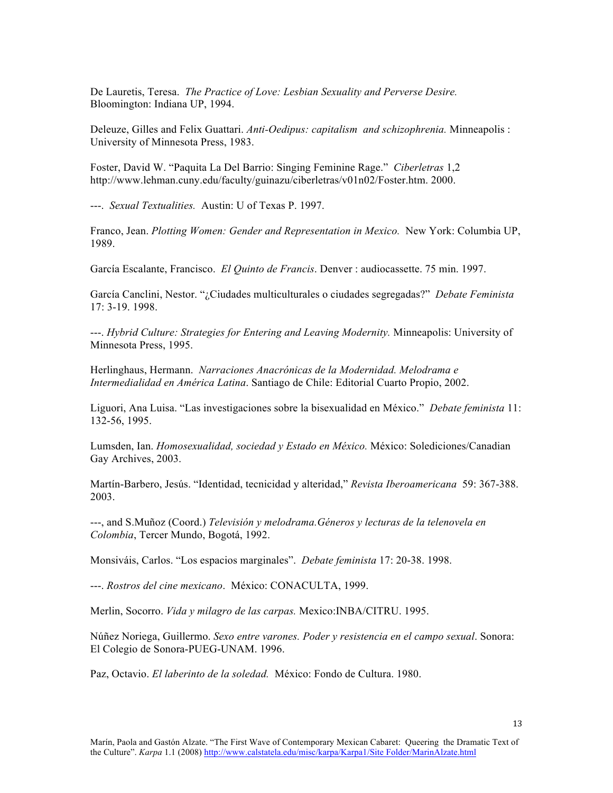De Lauretis, Teresa. *The Practice of Love: Lesbian Sexuality and Perverse Desire.*  Bloomington: Indiana UP, 1994.

Deleuze, Gilles and Felix Guattari. *Anti-Oedipus: capitalism and schizophrenia.* Minneapolis : University of Minnesota Press, 1983.

Foster, David W. "Paquita La Del Barrio: Singing Feminine Rage." *Ciberletras* 1,2 http://www.lehman.cuny.edu/faculty/guinazu/ciberletras/v01n02/Foster.htm. 2000.

---. *Sexual Textualities.* Austin: U of Texas P. 1997.

Franco, Jean. *Plotting Women: Gender and Representation in Mexico.* New York: Columbia UP, 1989.

García Escalante, Francisco. *El Quinto de Francis*. Denver : audiocassette. 75 min. 1997.

García Canclini, Nestor. "¿Ciudades multiculturales o ciudades segregadas?" *Debate Feminista* 17: 3-19. 1998.

---. *Hybrid Culture: Strategies for Entering and Leaving Modernity.* Minneapolis: University of Minnesota Press, 1995.

Herlinghaus, Hermann. *Narraciones Anacrónicas de la Modernidad. Melodrama e Intermedialidad en América Latina*. Santiago de Chile: Editorial Cuarto Propio, 2002.

Liguori, Ana Luisa. "Las investigaciones sobre la bisexualidad en México." *Debate feminista* 11: 132-56, 1995.

Lumsden, Ian. *Homosexualidad, sociedad y Estado en México.* México: Solediciones/Canadian Gay Archives, 2003.

Martín-Barbero, Jesús. "Identidad, tecnicidad y alteridad," *Revista Iberoamericana* 59: 367-388. 2003.

---, and S.Muñoz (Coord.) *Televisión y melodrama.Géneros y lecturas de la telenovela en Colombia*, Tercer Mundo, Bogotá, 1992.

Monsiváis, Carlos. "Los espacios marginales". *Debate feminista* 17: 20-38. 1998.

---. *Rostros del cine mexicano*. México: CONACULTA, 1999.

Merlin, Socorro. *Vida y milagro de las carpas.* Mexico:INBA/CITRU. 1995.

Núñez Noriega, Guillermo. *Sexo entre varones. Poder y resistencia en el campo sexual*. Sonora: El Colegio de Sonora-PUEG-UNAM. 1996.

Paz, Octavio. *El laberinto de la soledad.* México: Fondo de Cultura. 1980.